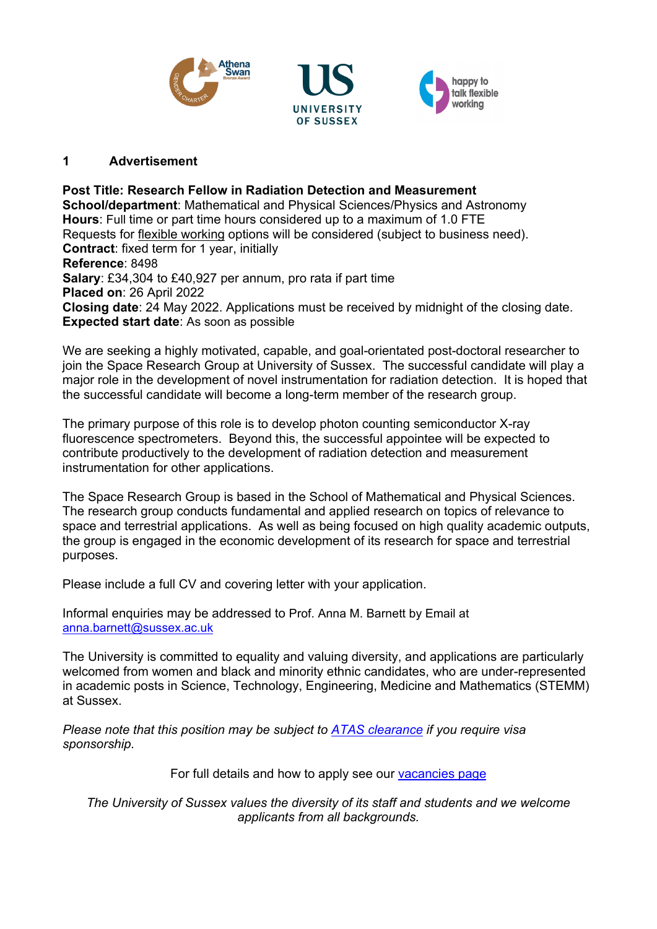





### **1 Advertisement**

**Post Title: Research Fellow in Radiation Detection and Measurement School/department**: Mathematical and Physical Sciences/Physics and Astronomy **Hours**: Full time or part time hours considered up to a maximum of 1.0 FTE Requests for [flexible working](http://www.sussex.ac.uk/humanresources/personnel/flexible-working) options will be considered (subject to business need). **Contract**: fixed term for 1 year, initially **Reference**: 8498 **Salary**: £34,304 to £40,927 per annum, pro rata if part time **Placed on**: 26 April 2022 **Closing date**: 24 May 2022. Applications must be received by midnight of the closing date. **Expected start date**: As soon as possible

We are seeking a highly motivated, capable, and goal-orientated post-doctoral researcher to join the Space Research Group at University of Sussex. The successful candidate will play a major role in the development of novel instrumentation for radiation detection. It is hoped that the successful candidate will become a long-term member of the research group.

The primary purpose of this role is to develop photon counting semiconductor X-ray fluorescence spectrometers. Beyond this, the successful appointee will be expected to contribute productively to the development of radiation detection and measurement instrumentation for other applications.

The Space Research Group is based in the School of Mathematical and Physical Sciences. The research group conducts fundamental and applied research on topics of relevance to space and terrestrial applications. As well as being focused on high quality academic outputs, the group is engaged in the economic development of its research for space and terrestrial purposes.

Please include a full CV and covering letter with your application.

Informal enquiries may be addressed to Prof. Anna M. Barnett by Email at [anna.barnett@sussex.ac.uk](mailto:anna.barnett@sussex.ac.uk) 

The University is committed to equality and valuing diversity, and applications are particularly welcomed from women and black and minority ethnic candidates, who are under-represented in academic posts in Science, Technology, Engineering, Medicine and Mathematics (STEMM) at Sussex.

*Please note that this position may be subject to [ATAS clearance](https://www.gov.uk/guidance/academic-technology-approval-scheme) if you require visa sponsorship.*

For full details and how to apply see our [vacancies page](http://www.sussex.ac.uk/about/jobs)

*The University of Sussex values the diversity of its staff and students and we welcome applicants from all backgrounds.*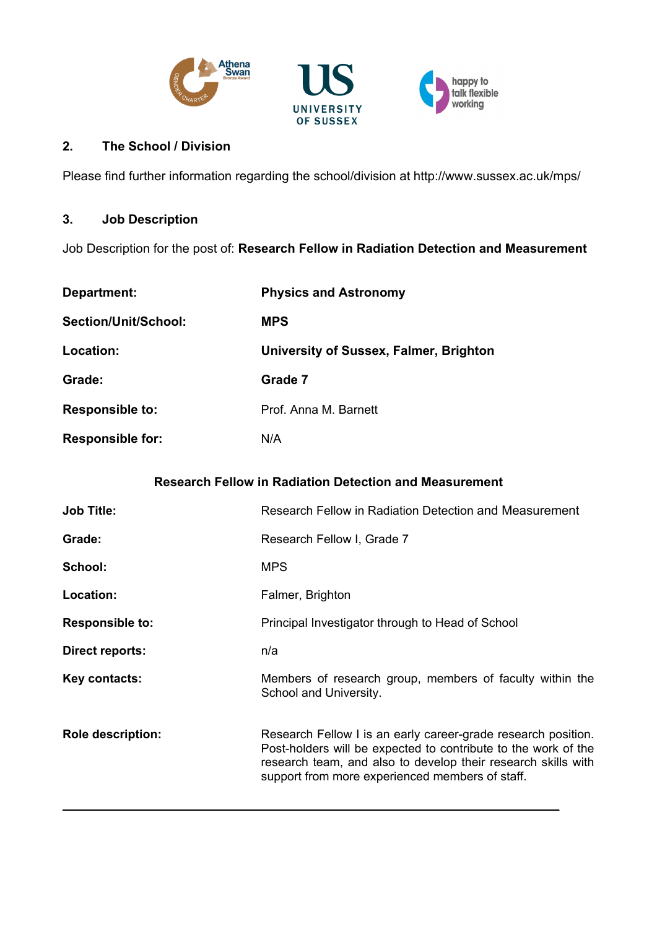



### **2. The School / Division**

Please find further information regarding the school/division at http://www.sussex.ac.uk/mps/

# **3. Job Description**

Job Description for the post of: **Research Fellow in Radiation Detection and Measurement**

| Department:             | <b>Physics and Astronomy</b>                  |
|-------------------------|-----------------------------------------------|
| Section/Unit/School:    | <b>MPS</b>                                    |
| Location:               | <b>University of Sussex, Falmer, Brighton</b> |
| Grade:                  | Grade 7                                       |
| <b>Responsible to:</b>  | Prof. Anna M. Barnett                         |
| <b>Responsible for:</b> | N/A                                           |

### **Research Fellow in Radiation Detection and Measurement**

| <b>Job Title:</b>        | Research Fellow in Radiation Detection and Measurement                                                                                                                                                                                              |
|--------------------------|-----------------------------------------------------------------------------------------------------------------------------------------------------------------------------------------------------------------------------------------------------|
| Grade:                   | Research Fellow I, Grade 7                                                                                                                                                                                                                          |
| School:                  | <b>MPS</b>                                                                                                                                                                                                                                          |
| Location:                | Falmer, Brighton                                                                                                                                                                                                                                    |
| <b>Responsible to:</b>   | Principal Investigator through to Head of School                                                                                                                                                                                                    |
| Direct reports:          | n/a                                                                                                                                                                                                                                                 |
| Key contacts:            | Members of research group, members of faculty within the<br>School and University.                                                                                                                                                                  |
| <b>Role description:</b> | Research Fellow I is an early career-grade research position.<br>Post-holders will be expected to contribute to the work of the<br>research team, and also to develop their research skills with<br>support from more experienced members of staff. |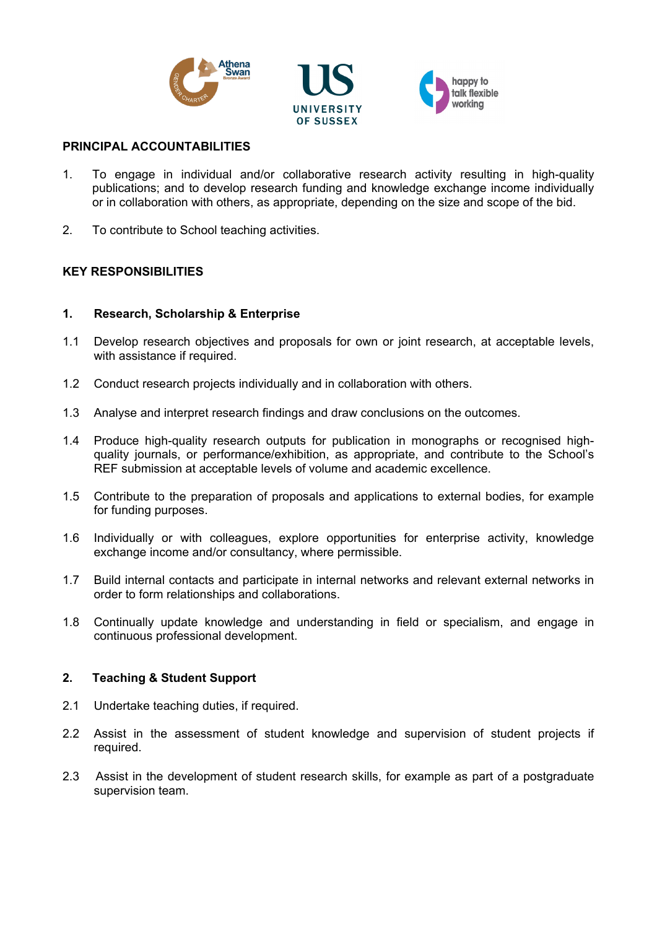



#### happy to talk flexible working

### **PRINCIPAL ACCOUNTABILITIES**

- 1. To engage in individual and/or collaborative research activity resulting in high-quality publications; and to develop research funding and knowledge exchange income individually or in collaboration with others, as appropriate, depending on the size and scope of the bid.
- 2. To contribute to School teaching activities.

### **KEY RESPONSIBILITIES**

### **1. Research, Scholarship & Enterprise**

- 1.1 Develop research objectives and proposals for own or joint research, at acceptable levels, with assistance if required.
- 1.2 Conduct research projects individually and in collaboration with others.
- 1.3 Analyse and interpret research findings and draw conclusions on the outcomes.
- 1.4 Produce high-quality research outputs for publication in monographs or recognised highquality journals, or performance/exhibition, as appropriate, and contribute to the School's REF submission at acceptable levels of volume and academic excellence.
- 1.5 Contribute to the preparation of proposals and applications to external bodies, for example for funding purposes.
- 1.6 Individually or with colleagues, explore opportunities for enterprise activity, knowledge exchange income and/or consultancy, where permissible.
- 1.7 Build internal contacts and participate in internal networks and relevant external networks in order to form relationships and collaborations.
- 1.8 Continually update knowledge and understanding in field or specialism, and engage in continuous professional development.

#### **2. Teaching & Student Support**

- 2.1 Undertake teaching duties, if required.
- 2.2 Assist in the assessment of student knowledge and supervision of student projects if required.
- 2.3 Assist in the development of student research skills, for example as part of a postgraduate supervision team.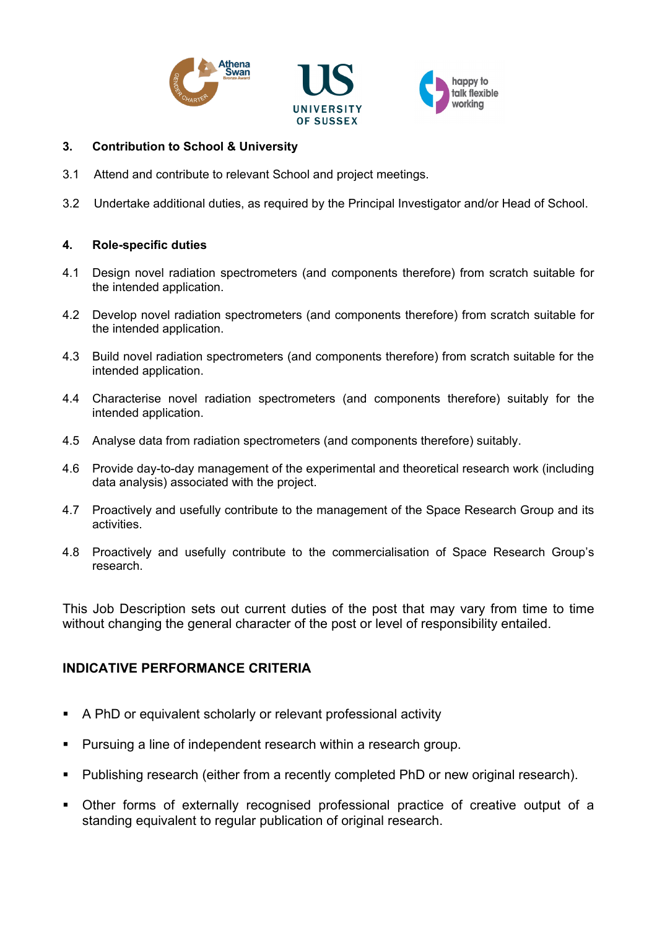





### **3. Contribution to School & University**

- 3.1 Attend and contribute to relevant School and project meetings.
- 3.2 Undertake additional duties, as required by the Principal Investigator and/or Head of School.

### **4. Role-specific duties**

- 4.1 Design novel radiation spectrometers (and components therefore) from scratch suitable for the intended application.
- 4.2 Develop novel radiation spectrometers (and components therefore) from scratch suitable for the intended application.
- 4.3 Build novel radiation spectrometers (and components therefore) from scratch suitable for the intended application.
- 4.4 Characterise novel radiation spectrometers (and components therefore) suitably for the intended application.
- 4.5 Analyse data from radiation spectrometers (and components therefore) suitably.
- 4.6 Provide day-to-day management of the experimental and theoretical research work (including data analysis) associated with the project.
- 4.7 Proactively and usefully contribute to the management of the Space Research Group and its activities.
- 4.8 Proactively and usefully contribute to the commercialisation of Space Research Group's research.

This Job Description sets out current duties of the post that may vary from time to time without changing the general character of the post or level of responsibility entailed.

# **INDICATIVE PERFORMANCE CRITERIA**

- A PhD or equivalent scholarly or relevant professional activity
- Pursuing a line of independent research within a research group.
- Publishing research (either from a recently completed PhD or new original research).
- Other forms of externally recognised professional practice of creative output of a standing equivalent to regular publication of original research.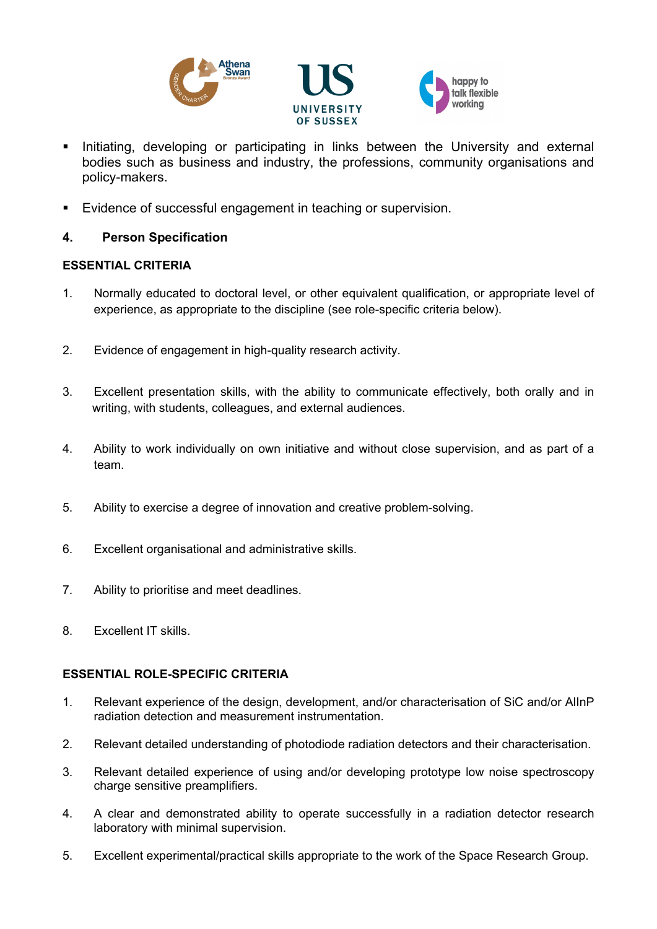





- Initiating, developing or participating in links between the University and external bodies such as business and industry, the professions, community organisations and policy-makers.
- Evidence of successful engagement in teaching or supervision.

## **4. Person Specification**

### **ESSENTIAL CRITERIA**

- 1. Normally educated to doctoral level, or other equivalent qualification, or appropriate level of experience, as appropriate to the discipline (see role-specific criteria below).
- 2. Evidence of engagement in high-quality research activity.
- 3. Excellent presentation skills, with the ability to communicate effectively, both orally and in writing, with students, colleagues, and external audiences.
- 4. Ability to work individually on own initiative and without close supervision, and as part of a team.
- 5. Ability to exercise a degree of innovation and creative problem-solving.
- 6. Excellent organisational and administrative skills.
- 7. Ability to prioritise and meet deadlines.
- 8. Excellent IT skills.

### **ESSENTIAL ROLE-SPECIFIC CRITERIA**

- 1. Relevant experience of the design, development, and/or characterisation of SiC and/or AlInP radiation detection and measurement instrumentation.
- 2. Relevant detailed understanding of photodiode radiation detectors and their characterisation.
- 3. Relevant detailed experience of using and/or developing prototype low noise spectroscopy charge sensitive preamplifiers.
- 4. A clear and demonstrated ability to operate successfully in a radiation detector research laboratory with minimal supervision.
- 5. Excellent experimental/practical skills appropriate to the work of the Space Research Group.